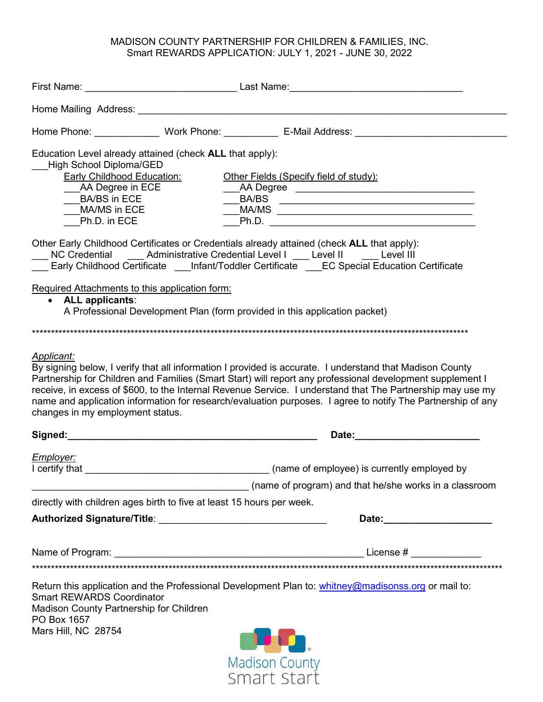#### MADISON COUNTY PARTNERSHIP FOR CHILDREN & FAMILIES, INC. Smart REWARDS APPLICATION: JULY 1, 2021 - JUNE 30, 2022

| <b>High School Diploma/GED</b><br><b>Early Childhood Education:</b><br>__AA Degree in ECE<br>BA/BS in ECE<br>MA/MS in ECE<br>Ph.D. in ECE | Education Level already attained (check ALL that apply):              | Other Fields (Specify field of study):<br>Ph.D.                                                                                                                                                                                                                                                                                        |
|-------------------------------------------------------------------------------------------------------------------------------------------|-----------------------------------------------------------------------|----------------------------------------------------------------------------------------------------------------------------------------------------------------------------------------------------------------------------------------------------------------------------------------------------------------------------------------|
|                                                                                                                                           |                                                                       | Other Early Childhood Certificates or Credentials already attained (check ALL that apply):<br>NC Credential Administrative Credential Level I Level II Level III<br>Early Childhood Certificate ___Infant/Toddler Certificate ___EC Special Education Certificate                                                                      |
| • ALL applicants:                                                                                                                         | Required Attachments to this application form:                        | A Professional Development Plan (form provided in this application packet)                                                                                                                                                                                                                                                             |
|                                                                                                                                           |                                                                       |                                                                                                                                                                                                                                                                                                                                        |
| changes in my employment status.                                                                                                          |                                                                       | Partnership for Children and Families (Smart Start) will report any professional development supplement I<br>receive, in excess of \$600, to the Internal Revenue Service. I understand that The Partnership may use my<br>name and application information for research/evaluation purposes. I agree to notify The Partnership of any |
|                                                                                                                                           |                                                                       | Date: the contract of the contract of the contract of the contract of the contract of the contract of the contract of the contract of the contract of the contract of the contract of the contract of the contract of the cont                                                                                                         |
| Employer:<br>I certify that                                                                                                               |                                                                       | (name of employee) is currently employed by                                                                                                                                                                                                                                                                                            |
|                                                                                                                                           |                                                                       | (name of program) and that he/she works in a classroom                                                                                                                                                                                                                                                                                 |
|                                                                                                                                           | directly with children ages birth to five at least 15 hours per week. |                                                                                                                                                                                                                                                                                                                                        |
|                                                                                                                                           |                                                                       |                                                                                                                                                                                                                                                                                                                                        |
|                                                                                                                                           |                                                                       |                                                                                                                                                                                                                                                                                                                                        |
|                                                                                                                                           |                                                                       |                                                                                                                                                                                                                                                                                                                                        |
|                                                                                                                                           |                                                                       |                                                                                                                                                                                                                                                                                                                                        |
| <b>Smart REWARDS Coordinator</b><br>Madison County Partnership for Children<br>PO Box 1657                                                |                                                                       | Return this application and the Professional Development Plan to: whitney@madisonss.org or mail to:                                                                                                                                                                                                                                    |
| Mars Hill, NC 28754                                                                                                                       |                                                                       | <u>in the se</u>                                                                                                                                                                                                                                                                                                                       |
|                                                                                                                                           |                                                                       | <b>Madison County</b>                                                                                                                                                                                                                                                                                                                  |
|                                                                                                                                           |                                                                       | Smart Start                                                                                                                                                                                                                                                                                                                            |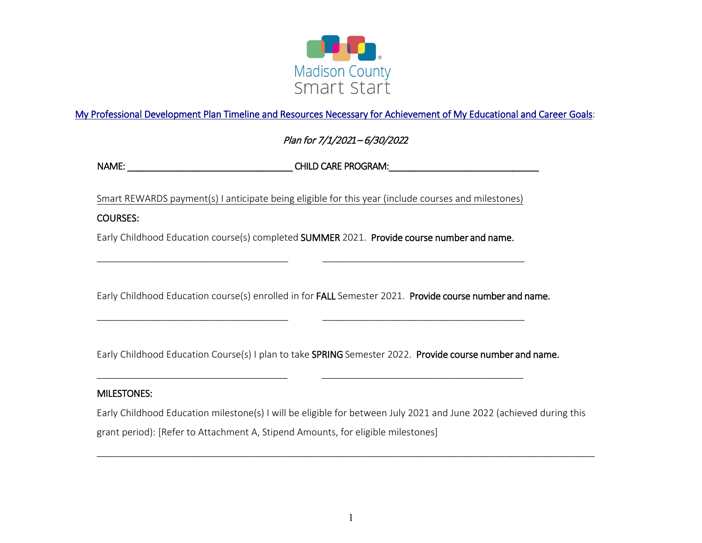

## My Professional Development Plan Timeline and Resources Necessary for Achievement of My Educational and Career Goals:

# Plan for 7/1/202*1*– 6/30/202*2*

NAME: \_\_\_\_\_\_\_\_\_\_\_\_\_\_\_\_\_\_\_\_\_\_\_\_\_\_\_\_\_\_\_\_ CHILD CARE PROGRAM:\_\_\_\_\_\_\_\_\_\_\_\_\_\_\_\_\_\_\_\_\_\_\_\_\_\_\_\_\_

Smart REWARDS payment(s) I anticipate being eligible for this year (include courses and milestones)

#### COURSES:

Early Childhood Education course(s) completed SUMMER 2021. Provide course number and name.

\_\_\_\_\_\_\_\_\_\_\_\_\_\_\_\_\_\_\_\_\_\_\_\_\_\_\_\_\_\_\_\_\_\_\_\_ \_\_\_\_\_\_\_\_\_\_\_\_\_\_\_\_\_\_\_\_\_\_\_\_\_\_\_\_\_\_\_\_\_\_\_\_\_\_

\_\_\_\_\_\_\_\_\_\_\_\_\_\_\_\_\_\_\_\_\_\_\_\_\_\_\_\_\_\_\_\_\_\_\_\_ \_\_\_\_\_\_\_\_\_\_\_\_\_\_\_\_\_\_\_\_\_\_\_\_\_\_\_\_\_\_\_\_\_\_\_\_\_\_

\_\_\_\_\_\_\_\_\_\_\_\_\_\_\_\_\_\_\_\_\_\_\_\_\_\_\_\_\_\_\_\_\_\_\_\_ \_\_\_\_\_\_\_\_\_\_\_\_\_\_\_\_\_\_\_\_\_\_\_\_\_\_\_\_\_\_\_\_\_\_\_\_\_\_

Early Childhood Education course(s) enrolled in for FALL Semester 2021. Provide course number and name.

Early Childhood Education Course(s) I plan to take SPRING Semester 2022. Provide course number and name.

#### MILESTONES:

Early Childhood Education milestone(s) I will be eligible for between July 2021 and June 2022 (achieved during this grant period): [Refer to Attachment A, Stipend Amounts, for eligible milestones]

\_\_\_\_\_\_\_\_\_\_\_\_\_\_\_\_\_\_\_\_\_\_\_\_\_\_\_\_\_\_\_\_\_\_\_\_\_\_\_\_\_\_\_\_\_\_\_\_\_\_\_\_\_\_\_\_\_\_\_\_\_\_\_\_\_\_\_\_\_\_\_\_\_\_\_\_\_\_\_\_\_\_\_\_\_\_\_\_\_\_\_\_\_\_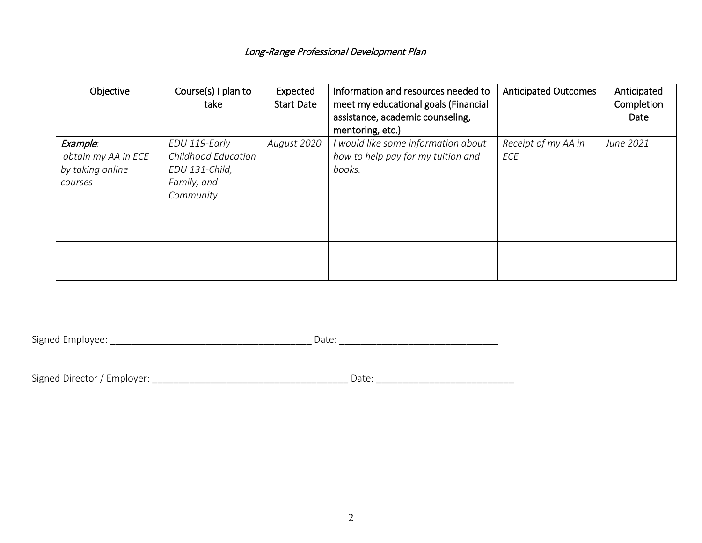| Objective                                                      | Course(s) I plan to<br>take                                                        | Expected<br><b>Start Date</b> | Information and resources needed to<br>meet my educational goals (Financial<br>assistance, academic counseling,<br>mentoring, etc.) | <b>Anticipated Outcomes</b> | Anticipated<br>Completion<br>Date |
|----------------------------------------------------------------|------------------------------------------------------------------------------------|-------------------------------|-------------------------------------------------------------------------------------------------------------------------------------|-----------------------------|-----------------------------------|
| Example:<br>obtain my AA in ECE<br>by taking online<br>courses | EDU 119-Early<br>Childhood Education<br>EDU 131-Child,<br>Family, and<br>Community | August 2020                   | would like some information about<br>how to help pay for my tuition and<br>books.                                                   | Receipt of my AA in<br>ECE  | June 2021                         |
|                                                                |                                                                                    |                               |                                                                                                                                     |                             |                                   |

Signed Employee: \_\_\_\_\_\_\_\_\_\_\_\_\_\_\_\_\_\_\_\_\_\_\_\_\_\_\_\_\_\_\_\_\_\_\_\_\_\_ Date: \_\_\_\_\_\_\_\_\_\_\_\_\_\_\_\_\_\_\_\_\_\_\_\_\_\_\_\_\_\_

| Signed Director / Employer: | $1 - + -$<br>Jdle |
|-----------------------------|-------------------|
|                             |                   |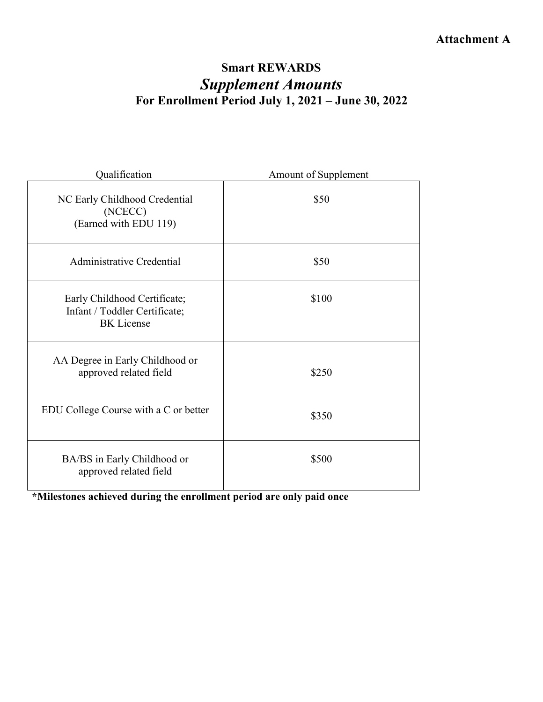# **Attachment A**

# **Smart REWARDS** *Supplement Amounts*  **For Enrollment Period July 1, 2021 – June 30, 2022**

| Qualification                                                                      | Amount of Supplement |  |
|------------------------------------------------------------------------------------|----------------------|--|
| NC Early Childhood Credential<br>(NCECC)<br>(Earned with EDU 119)                  | \$50                 |  |
| Administrative Credential                                                          | \$50                 |  |
| Early Childhood Certificate;<br>Infant / Toddler Certificate;<br><b>BK</b> License | \$100                |  |
| AA Degree in Early Childhood or<br>approved related field                          | \$250                |  |
| EDU College Course with a C or better                                              | \$350                |  |
| BA/BS in Early Childhood or<br>approved related field                              | \$500                |  |

**\*Milestones achieved during the enrollment period are only paid once**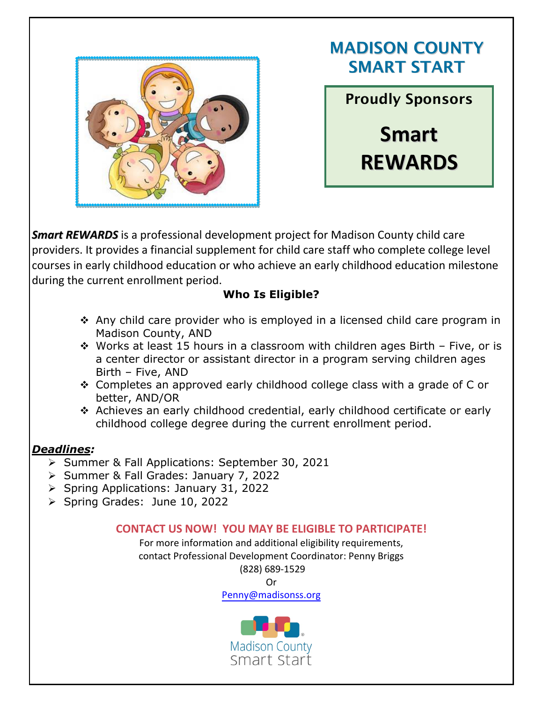

# MADISON COUNTY SMART START

Proudly Sponsors **Smart REWARDS**

*Smart REWARDS* is a professional development project for Madison County child care providers. It provides a financial supplement for child care staff who complete college level courses in early childhood education or who achieve an early childhood education milestone during the current enrollment period.

# **Who Is Eligible?**

- Any child care provider who is employed in a licensed child care program in Madison County, AND
- $\cdot$  Works at least 15 hours in a classroom with children ages Birth Five, or is a center director or assistant director in a program serving children ages Birth – Five, AND
- Completes an approved early childhood college class with a grade of C or better, AND/OR
- Achieves an early childhood credential, early childhood certificate or early childhood college degree during the current enrollment period.

# *Deadlines:*

- Summer & Fall Applications: September 30, 2021
- Summer & Fall Grades: January 7, 2022
- Spring Applications: January 31, 2022
- $\triangleright$  Spring Grades: June 10, 2022

# **CONTACT US NOW! YOU MAY BE ELIGIBLE TO PARTICIPATE!**

For more information and additional eligibility requirements, contact Professional Development Coordinator: Penny Briggs (828) 689-1529

Or

Penny[@madisonss.org](mailto:Adrienne@madisonss.org)

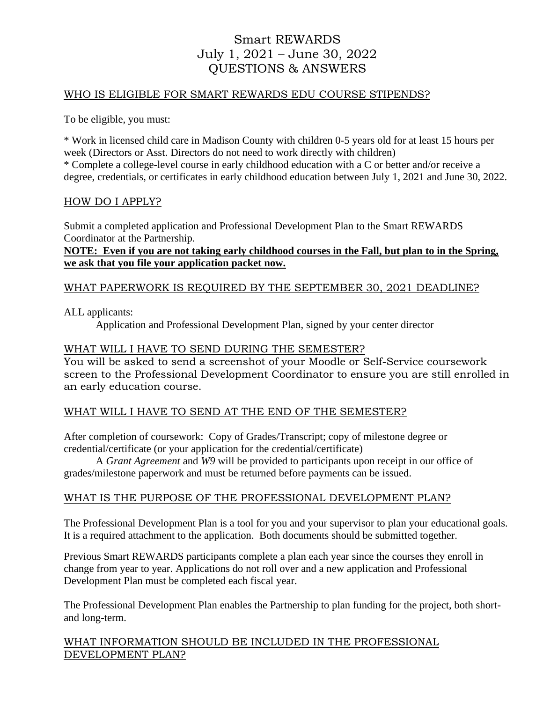# Smart REWARDS July 1, 2021 – June 30, 2022 QUESTIONS & ANSWERS

### WHO IS ELIGIBLE FOR SMART REWARDS EDU COURSE STIPENDS?

To be eligible, you must:

\* Work in licensed child care in Madison County with children 0-5 years old for at least 15 hours per week (Directors or Asst. Directors do not need to work directly with children) \* Complete a college-level course in early childhood education with a C or better and/or receive a degree, credentials, or certificates in early childhood education between July 1, 2021 and June 30, 2022.

#### HOW DO I APPLY?

Submit a completed application and Professional Development Plan to the Smart REWARDS Coordinator at the Partnership.

## **NOTE: Even if you are not taking early childhood courses in the Fall, but plan to in the Spring, we ask that you file your application packet now.**

# WHAT PAPERWORK IS REQUIRED BY THE SEPTEMBER 30, 2021 DEADLINE?

ALL applicants:

Application and Professional Development Plan, signed by your center director

#### WHAT WILL I HAVE TO SEND DURING THE SEMESTER?

You will be asked to send a screenshot of your Moodle or Self-Service coursework screen to the Professional Development Coordinator to ensure you are still enrolled in an early education course.

### WHAT WILL I HAVE TO SEND AT THE END OF THE SEMESTER?

After completion of coursework: Copy of Grades/Transcript; copy of milestone degree or credential/certificate (or your application for the credential/certificate)

A *Grant Agreement* and *W9* will be provided to participants upon receipt in our office of grades/milestone paperwork and must be returned before payments can be issued.

### WHAT IS THE PURPOSE OF THE PROFESSIONAL DEVELOPMENT PLAN?

The Professional Development Plan is a tool for you and your supervisor to plan your educational goals. It is a required attachment to the application. Both documents should be submitted together.

Previous Smart REWARDS participants complete a plan each year since the courses they enroll in change from year to year. Applications do not roll over and a new application and Professional Development Plan must be completed each fiscal year.

The Professional Development Plan enables the Partnership to plan funding for the project, both shortand long-term.

#### WHAT INFORMATION SHOULD BE INCLUDED IN THE PROFESSIONAL DEVELOPMENT PLAN?